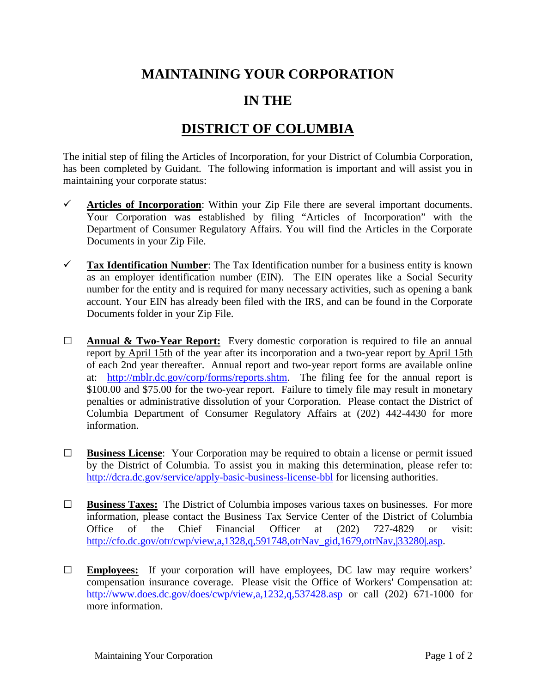## **MAINTAINING YOUR CORPORATION**

## **IN THE**

## **DISTRICT OF COLUMBIA**

The initial step of filing the Articles of Incorporation, for your District of Columbia Corporation, has been completed by Guidant. The following information is important and will assist you in maintaining your corporate status:

- $\checkmark$  Articles of Incorporation: Within your Zip File there are several important documents. Your Corporation was established by filing "Articles of Incorporation" with the Department of Consumer Regulatory Affairs. You will find the Articles in the Corporate Documents in your Zip File.
- **Tax Identification Number**: The Tax Identification number for a business entity is known as an employer identification number (EIN). The EIN operates like a Social Security number for the entity and is required for many necessary activities, such as opening a bank account. Your EIN has already been filed with the IRS, and can be found in the Corporate Documents folder in your Zip File.
- **□ Annual & Two-Year Report:** Every domestic corporation is required to file an annual report by April 15th of the year after its incorporation and a two-year report by April 15th of each 2nd year thereafter. Annual report and two-year report forms are available online at: [http://mblr.dc.gov/corp/forms/reports.shtm.](http://mblr.dc.gov/corp/forms/reports.shtm) The filing fee for the annual report is \$100.00 and \$75.00 for the two-year report. Failure to timely file may result in monetary penalties or administrative dissolution of your Corporation. Please contact the District of Columbia Department of Consumer Regulatory Affairs at (202) 442-4430 for more information.
- **□ Business License**: Your Corporation may be required to obtain a license or permit issued by the District of Columbia. To assist you in making this determination, please refer to: <http://dcra.dc.gov/service/apply-basic-business-license-bbl> for licensing authorities.
- **□ Business Taxes:** The District of Columbia imposes various taxes on businesses. For more information, please contact the Business Tax Service Center of the District of Columbia Office of the Chief Financial Officer at (202) 727-4829 or visit: [http://cfo.dc.gov/otr/cwp/view,a,1328,q,591748,otrNav\\_gid,1679,otrNav,|33280|.asp.](http://cfo.dc.gov/otr/cwp/view,a,1328,q,591748,otrNav_gid,1679,otrNav,|33280|.asp)
- **□ Employees:** If your corporation will have employees, DC law may require workers' compensation insurance coverage. Please visit the Office of Workers' Compensation at: <http://www.does.dc.gov/does/cwp/view,a,1232,q,537428.asp> or call (202) 671-1000 for more information.